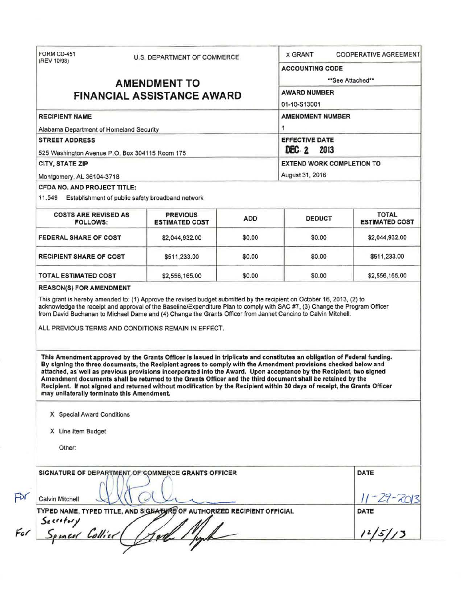|                                                                                                                                                                                                                                                                                                                                                                                                                                                                                                                                                                                                                                                                                                                                                                                                                                    | <b>U.S. DEPARTMENT OF COMMERCE</b>       |            | <b>X GRANT</b><br><b>COOPERATIVE AGREEMENT</b> |                                       |  |
|------------------------------------------------------------------------------------------------------------------------------------------------------------------------------------------------------------------------------------------------------------------------------------------------------------------------------------------------------------------------------------------------------------------------------------------------------------------------------------------------------------------------------------------------------------------------------------------------------------------------------------------------------------------------------------------------------------------------------------------------------------------------------------------------------------------------------------|------------------------------------------|------------|------------------------------------------------|---------------------------------------|--|
| (REV 10/98)<br><b>AMENDMENT TO</b><br><b>FINANCIAL ASSISTANCE AWARD</b>                                                                                                                                                                                                                                                                                                                                                                                                                                                                                                                                                                                                                                                                                                                                                            |                                          |            | <b>ACCOUNTING CODE</b><br>**See Attached**     |                                       |  |
|                                                                                                                                                                                                                                                                                                                                                                                                                                                                                                                                                                                                                                                                                                                                                                                                                                    |                                          |            | <b>AWARD NUMBER</b>                            |                                       |  |
|                                                                                                                                                                                                                                                                                                                                                                                                                                                                                                                                                                                                                                                                                                                                                                                                                                    |                                          |            | 01-10-S13001                                   |                                       |  |
| <b>RECIPIENT NAME</b>                                                                                                                                                                                                                                                                                                                                                                                                                                                                                                                                                                                                                                                                                                                                                                                                              |                                          |            | <b>AMENDMENT NUMBER</b>                        |                                       |  |
| Alabama Department of Homeland Security                                                                                                                                                                                                                                                                                                                                                                                                                                                                                                                                                                                                                                                                                                                                                                                            |                                          |            |                                                |                                       |  |
| <b>STREET ADDRESS</b><br>525 Washington Avenue P.O. Box 304115 Room 175                                                                                                                                                                                                                                                                                                                                                                                                                                                                                                                                                                                                                                                                                                                                                            |                                          |            | <b>EFFECTIVE DATE</b><br>DEC 2<br>2013         |                                       |  |
| CITY, STATE ZIP                                                                                                                                                                                                                                                                                                                                                                                                                                                                                                                                                                                                                                                                                                                                                                                                                    |                                          |            | <b>EXTEND WORK COMPLETION TO</b>               |                                       |  |
| Montgomery, AL 36104-3718                                                                                                                                                                                                                                                                                                                                                                                                                                                                                                                                                                                                                                                                                                                                                                                                          |                                          |            | August 31, 2016                                |                                       |  |
| CFDA NO. AND PROJECT TITLE:                                                                                                                                                                                                                                                                                                                                                                                                                                                                                                                                                                                                                                                                                                                                                                                                        |                                          |            |                                                |                                       |  |
| 11.549 Establishment of public safety broadband network                                                                                                                                                                                                                                                                                                                                                                                                                                                                                                                                                                                                                                                                                                                                                                            |                                          |            |                                                |                                       |  |
| <b>COSTS ARE REVISED AS</b><br><b>FOLLOWS:</b>                                                                                                                                                                                                                                                                                                                                                                                                                                                                                                                                                                                                                                                                                                                                                                                     | <b>PREVIOUS</b><br><b>ESTIMATED COST</b> | <b>ADD</b> | <b>DEDUCT</b>                                  | <b>TOTAL</b><br><b>ESTIMATED COST</b> |  |
| <b>FEDERAL SHARE OF COST</b>                                                                                                                                                                                                                                                                                                                                                                                                                                                                                                                                                                                                                                                                                                                                                                                                       | \$2,044,932.00                           | \$0.00     | \$0.00                                         | \$2,044,932.00                        |  |
| <b>RECIPIENT SHARE OF COST</b>                                                                                                                                                                                                                                                                                                                                                                                                                                                                                                                                                                                                                                                                                                                                                                                                     | \$511,233.00                             | \$0.00     | \$0.00                                         | \$511,233.00                          |  |
| <b>TOTAL ESTIMATED COST</b>                                                                                                                                                                                                                                                                                                                                                                                                                                                                                                                                                                                                                                                                                                                                                                                                        |                                          | \$0.00     | \$0.00                                         | \$2,556,165.00                        |  |
|                                                                                                                                                                                                                                                                                                                                                                                                                                                                                                                                                                                                                                                                                                                                                                                                                                    | \$2,556,165.00                           |            |                                                |                                       |  |
| <b>REASON(S) FOR AMENDMENT</b><br>This grant is hereby amended to: (1) Approve the revised budget submitted by the recipient on October 16, 2013, (2) to<br>acknowledge the receipt and approval of the Baseline/Expenditure Plan to comply with SAC #7, (3) Change the Program Officer<br>from David Buchanan to Michael Dame and (4) Change the Grants Officer from Jannet Cancino to Calvin Mitchell.<br>ALL PREVIOUS TERMS AND CONDITIONS REMAIN IN EFFECT.<br>This Amendment approved by the Grants Officer is issued in triplicate and constitutes an obligation of Federal funding.<br>By signing the three documents, the Recipient agrees to comply with the Amendment provisions checked below and<br>attached, as well as previous provisions incorporated into the Award. Upon acceptance by the Recipient, two signed |                                          |            |                                                |                                       |  |
| Amendment documents shall be returned to the Grants Officer and the third document shall be retained by the<br>Recipient. If not signed and returned without modification by the Recipient within 30 days of receipt, the Grants Officer<br>may unilaterally terminate this Amendment.                                                                                                                                                                                                                                                                                                                                                                                                                                                                                                                                             |                                          |            |                                                |                                       |  |
| X Special Award Conditions                                                                                                                                                                                                                                                                                                                                                                                                                                                                                                                                                                                                                                                                                                                                                                                                         |                                          |            |                                                |                                       |  |
| X Line Item Budget                                                                                                                                                                                                                                                                                                                                                                                                                                                                                                                                                                                                                                                                                                                                                                                                                 |                                          |            |                                                |                                       |  |
| Other:                                                                                                                                                                                                                                                                                                                                                                                                                                                                                                                                                                                                                                                                                                                                                                                                                             |                                          |            |                                                |                                       |  |
| SIGNATURE OF DEPARTMENT OF COMMERCE GRANTS OFFICER                                                                                                                                                                                                                                                                                                                                                                                                                                                                                                                                                                                                                                                                                                                                                                                 |                                          |            |                                                | DATE                                  |  |
| Calvin Mitchell                                                                                                                                                                                                                                                                                                                                                                                                                                                                                                                                                                                                                                                                                                                                                                                                                    |                                          |            |                                                |                                       |  |
| TYPED NAME, TYPED TITLE, AND SIGNATYRE OF AUTHORIZED RECIPIENT OFFICIAL                                                                                                                                                                                                                                                                                                                                                                                                                                                                                                                                                                                                                                                                                                                                                            |                                          |            |                                                | $-29 - 20$<br>DATE                    |  |
| Secretary<br>Spincer Collier                                                                                                                                                                                                                                                                                                                                                                                                                                                                                                                                                                                                                                                                                                                                                                                                       |                                          |            |                                                | $1^{1}/5/13$                          |  |